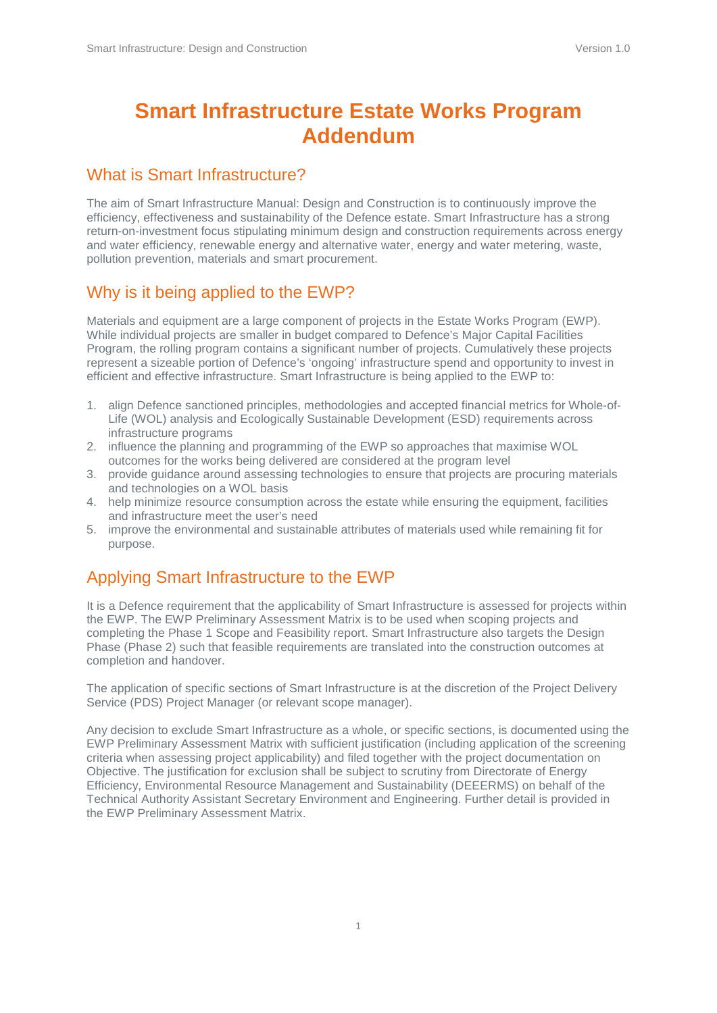# **Smart Infrastructure Estate Works Program Addendum**

### What is Smart Infrastructure?

The aim of Smart Infrastructure Manual: Design and Construction is to continuously improve the efficiency, effectiveness and sustainability of the Defence estate. Smart Infrastructure has a strong return-on-investment focus stipulating minimum design and construction requirements across energy and water efficiency, renewable energy and alternative water, energy and water metering, waste, pollution prevention, materials and smart procurement.

### Why is it being applied to the EWP?

Materials and equipment are a large component of projects in the Estate Works Program (EWP). While individual projects are smaller in budget compared to Defence's Major Capital Facilities Program, the rolling program contains a significant number of projects. Cumulatively these projects represent a sizeable portion of Defence's 'ongoing' infrastructure spend and opportunity to invest in efficient and effective infrastructure. Smart Infrastructure is being applied to the EWP to:

- 1. align Defence sanctioned principles, methodologies and accepted financial metrics for Whole-of-Life (WOL) analysis and Ecologically Sustainable Development (ESD) requirements across infrastructure programs
- 2. influence the planning and programming of the EWP so approaches that maximise WOL outcomes for the works being delivered are considered at the program level
- 3. provide guidance around assessing technologies to ensure that projects are procuring materials and technologies on a WOL basis
- 4. help minimize resource consumption across the estate while ensuring the equipment, facilities and infrastructure meet the user's need
- 5. improve the environmental and sustainable attributes of materials used while remaining fit for purpose.

### Applying Smart Infrastructure to the EWP

It is a Defence requirement that the applicability of Smart Infrastructure is assessed for projects within the EWP. The EWP Preliminary Assessment Matrix is to be used when scoping projects and completing the Phase 1 Scope and Feasibility report. Smart Infrastructure also targets the Design Phase (Phase 2) such that feasible requirements are translated into the construction outcomes at completion and handover.

The application of specific sections of Smart Infrastructure is at the discretion of the Project Delivery Service (PDS) Project Manager (or relevant scope manager).

Any decision to exclude Smart Infrastructure as a whole, or specific sections, is documented using the EWP Preliminary Assessment Matrix with sufficient justification (including application of the screening criteria when assessing project applicability) and filed together with the project documentation on Objective. The justification for exclusion shall be subject to scrutiny from Directorate of Energy Efficiency, Environmental Resource Management and Sustainability (DEEERMS) on behalf of the Technical Authority Assistant Secretary Environment and Engineering. Further detail is provided in the EWP Preliminary Assessment Matrix.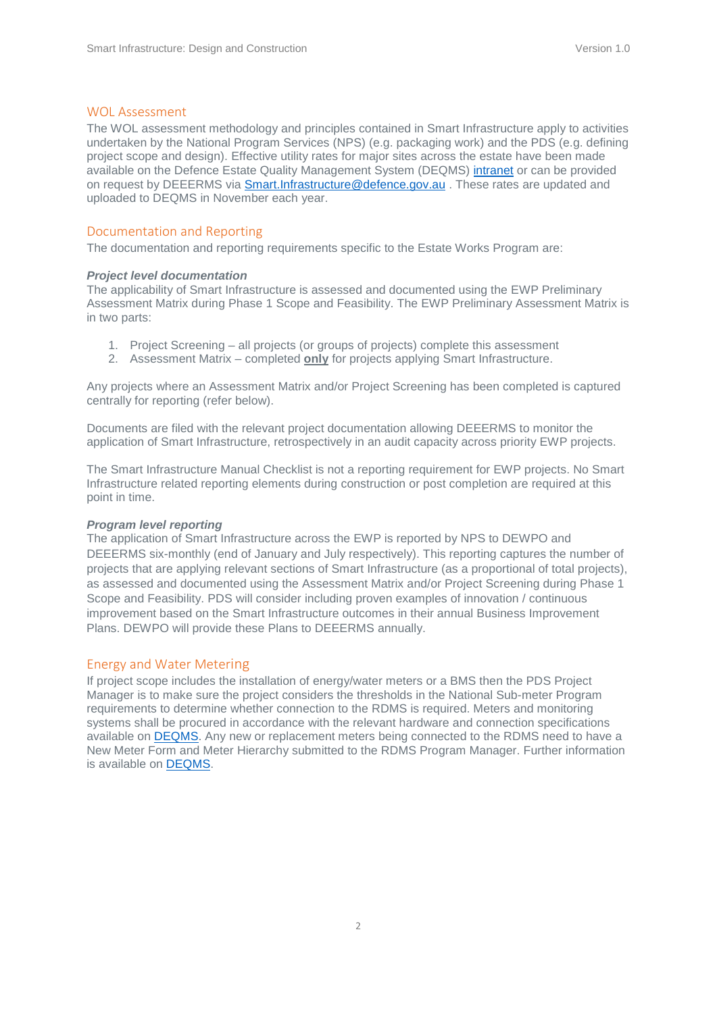#### WOL Assessment

The WOL assessment methodology and principles contained in Smart Infrastructure apply to activities undertaken by the National Program Services (NPS) (e.g. packaging work) and the PDS (e.g. defining project scope and design). Effective utility rates for major sites across the estate have been made available on the Defence Estate Quality Management System (DEQMS) [intranet](http://intranet.defence.gov.au/estatemanagement/governance/Policy/SmartInfrastructure/Docs/20150626%20Utility%20Rates%20for%20business%20case%20and%20WOL%20Assessment%20v1%200.pdf) or can be provided on request by DEEERMS via [Smart.Infrastructure@defence.gov.au](mailto:Smart.Infrastructure@defence.gov.au) . These rates are updated and uploaded to DEQMS in November each year.

#### Documentation and Reporting

The documentation and reporting requirements specific to the Estate Works Program are:

#### *Project level documentation*

The applicability of Smart Infrastructure is assessed and documented using the EWP Preliminary Assessment Matrix during Phase 1 Scope and Feasibility. The EWP Preliminary Assessment Matrix is in two parts:

- 1. Project Screening all projects (or groups of projects) complete this assessment
- 2. Assessment Matrix completed **only** for projects applying Smart Infrastructure.

Any projects where an Assessment Matrix and/or Project Screening has been completed is captured centrally for reporting (refer below).

Documents are filed with the relevant project documentation allowing DEEERMS to monitor the application of Smart Infrastructure, retrospectively in an audit capacity across priority EWP projects.

The Smart Infrastructure Manual Checklist is not a reporting requirement for EWP projects. No Smart Infrastructure related reporting elements during construction or post completion are required at this point in time.

#### *Program level reporting*

The application of Smart Infrastructure across the EWP is reported by NPS to DEWPO and DEEERMS six-monthly (end of January and July respectively). This reporting captures the number of projects that are applying relevant sections of Smart Infrastructure (as a proportional of total projects), as assessed and documented using the Assessment Matrix and/or Project Screening during Phase 1 Scope and Feasibility. PDS will consider including proven examples of innovation / continuous improvement based on the Smart Infrastructure outcomes in their annual Business Improvement Plans. DEWPO will provide these Plans to DEEERMS annually.

#### Energy and Water Metering

If project scope includes the installation of energy/water meters or a BMS then the PDS Project Manager is to make sure the project considers the thresholds in the National Sub-meter Program requirements to determine whether connection to the RDMS is required. Meters and monitoring systems shall be procured in accordance with the relevant hardware and connection specifications available on [DEQMS.](http://www.defence.gov.au/estatemanagement/Governance/Policy/Environment/EnergyEfficiency/NSP.asp) Any new or replacement meters being connected to the RDMS need to have a New Meter Form and Meter Hierarchy submitted to the RDMS Program Manager. Further information is available on [DEQMS.](http://www.defence.gov.au/estatemanagement/Governance/Policy/Environment/EnergyEfficiency/NSP.asp)